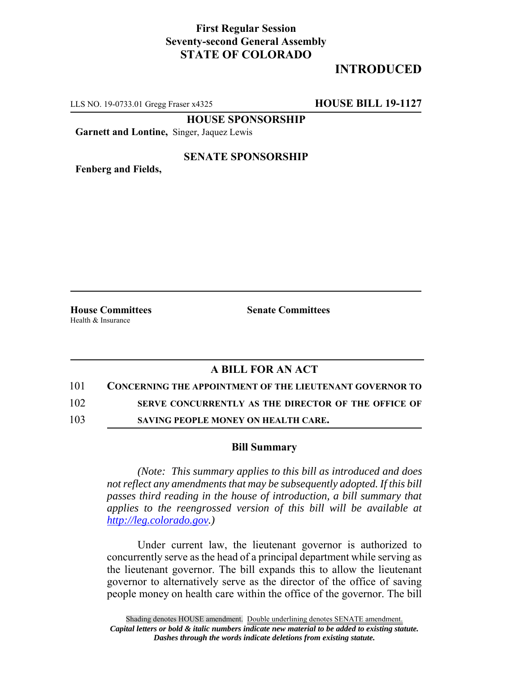## **First Regular Session Seventy-second General Assembly STATE OF COLORADO**

# **INTRODUCED**

LLS NO. 19-0733.01 Gregg Fraser x4325 **HOUSE BILL 19-1127**

**HOUSE SPONSORSHIP**

**Garnett and Lontine,** Singer, Jaquez Lewis

#### **SENATE SPONSORSHIP**

**Fenberg and Fields,**

Health & Insurance

**House Committees Senate Committees** 

### **A BILL FOR AN ACT**

### 101 **CONCERNING THE APPOINTMENT OF THE LIEUTENANT GOVERNOR TO**

102 **SERVE CONCURRENTLY AS THE DIRECTOR OF THE OFFICE OF**

103 **SAVING PEOPLE MONEY ON HEALTH CARE.**

#### **Bill Summary**

*(Note: This summary applies to this bill as introduced and does not reflect any amendments that may be subsequently adopted. If this bill passes third reading in the house of introduction, a bill summary that applies to the reengrossed version of this bill will be available at http://leg.colorado.gov.)*

Under current law, the lieutenant governor is authorized to concurrently serve as the head of a principal department while serving as the lieutenant governor. The bill expands this to allow the lieutenant governor to alternatively serve as the director of the office of saving people money on health care within the office of the governor. The bill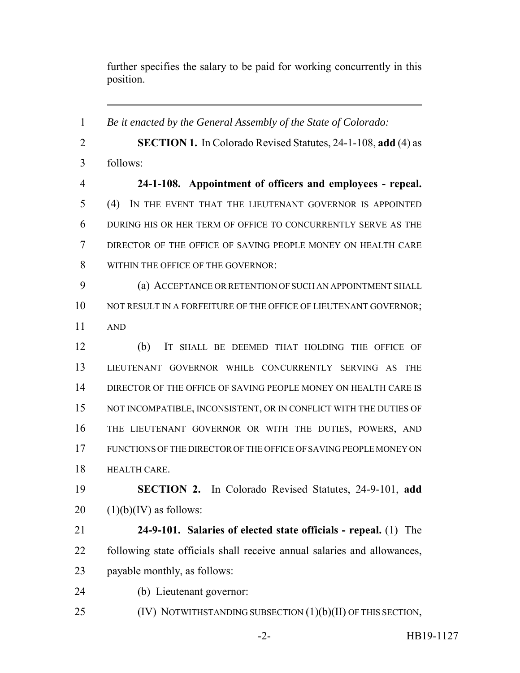further specifies the salary to be paid for working concurrently in this position.

 *Be it enacted by the General Assembly of the State of Colorado:* **SECTION 1.** In Colorado Revised Statutes, 24-1-108, **add** (4) as follows: **24-1-108. Appointment of officers and employees - repeal.** (4) IN THE EVENT THAT THE LIEUTENANT GOVERNOR IS APPOINTED DURING HIS OR HER TERM OF OFFICE TO CONCURRENTLY SERVE AS THE DIRECTOR OF THE OFFICE OF SAVING PEOPLE MONEY ON HEALTH CARE WITHIN THE OFFICE OF THE GOVERNOR: (a) ACCEPTANCE OR RETENTION OF SUCH AN APPOINTMENT SHALL 10 NOT RESULT IN A FORFEITURE OF THE OFFICE OF LIEUTENANT GOVERNOR; AND (b) IT SHALL BE DEEMED THAT HOLDING THE OFFICE OF LIEUTENANT GOVERNOR WHILE CONCURRENTLY SERVING AS THE DIRECTOR OF THE OFFICE OF SAVING PEOPLE MONEY ON HEALTH CARE IS 15 NOT INCOMPATIBLE, INCONSISTENT, OR IN CONFLICT WITH THE DUTIES OF THE LIEUTENANT GOVERNOR OR WITH THE DUTIES, POWERS, AND FUNCTIONS OF THE DIRECTOR OF THE OFFICE OF SAVING PEOPLE MONEY ON HEALTH CARE. **SECTION 2.** In Colorado Revised Statutes, 24-9-101, **add**  $20 \quad (1)(b)(IV)$  as follows: **24-9-101. Salaries of elected state officials - repeal.** (1) The following state officials shall receive annual salaries and allowances, payable monthly, as follows: (b) Lieutenant governor: 25 (IV) NOTWITHSTANDING SUBSECTION (1)(b)(II) OF THIS SECTION,